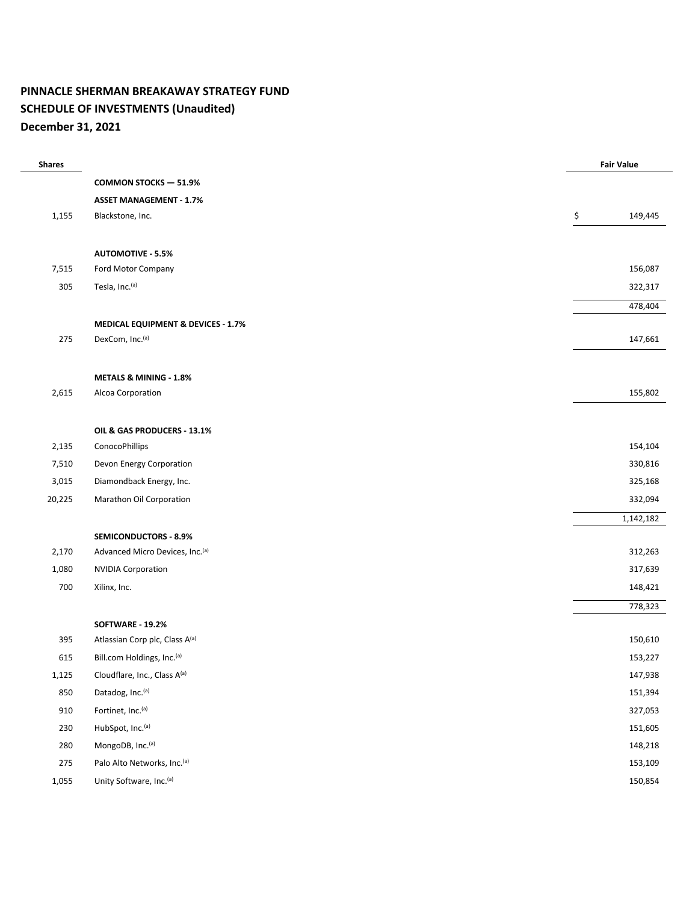### **PINNACLE SHERMAN BREAKAWAY STRATEGY FUND SCHEDULE OF INVESTMENTS (Unaudited) December 31, 2021**

| <b>Shares</b> |                                             | <b>Fair Value</b> |           |
|---------------|---------------------------------------------|-------------------|-----------|
|               | <b>COMMON STOCKS - 51.9%</b>                |                   |           |
|               | <b>ASSET MANAGEMENT - 1.7%</b>              |                   |           |
| 1,155         | Blackstone, Inc.                            | \$                | 149,445   |
|               |                                             |                   |           |
|               | <b>AUTOMOTIVE - 5.5%</b>                    |                   |           |
| 7,515         | Ford Motor Company                          |                   | 156,087   |
| 305           | Tesla, Inc.(a)                              |                   | 322,317   |
|               |                                             |                   | 478,404   |
|               | MEDICAL EQUIPMENT & DEVICES - 1.7%          |                   |           |
| 275           | DexCom, Inc. <sup>(a)</sup>                 |                   | 147,661   |
|               |                                             |                   |           |
| 2,615         | METALS & MINING - 1.8%<br>Alcoa Corporation |                   | 155,802   |
|               |                                             |                   |           |
|               | OIL & GAS PRODUCERS - 13.1%                 |                   |           |
| 2,135         | ConocoPhillips                              |                   | 154,104   |
| 7,510         | Devon Energy Corporation                    |                   | 330,816   |
| 3,015         | Diamondback Energy, Inc.                    |                   | 325,168   |
| 20,225        | Marathon Oil Corporation                    |                   | 332,094   |
|               |                                             |                   | 1,142,182 |
|               | <b>SEMICONDUCTORS - 8.9%</b>                |                   |           |
| 2,170         | Advanced Micro Devices, Inc. <sup>(a)</sup> |                   | 312,263   |
| 1,080         | <b>NVIDIA Corporation</b>                   |                   | 317,639   |
| 700           | Xilinx, Inc.                                |                   | 148,421   |
|               |                                             |                   | 778,323   |
|               | SOFTWARE - 19.2%                            |                   |           |
| 395           | Atlassian Corp plc, Class A(a)              |                   | 150,610   |
| 615           | Bill.com Holdings, Inc.(a)                  |                   | 153,227   |
| 1,125         | Cloudflare, Inc., Class A(a)                |                   | 147,938   |
| 850           | Datadog, Inc.(a)                            |                   | 151,394   |
| 910           | Fortinet, Inc.(a)                           |                   | 327,053   |
| 230           | HubSpot, Inc.(a)                            |                   | 151,605   |
| 280           | MongoDB, Inc.(a)                            |                   | 148,218   |
| 275           | Palo Alto Networks, Inc.(a)                 |                   | 153,109   |
| 1,055         | Unity Software, Inc.(a)                     |                   | 150,854   |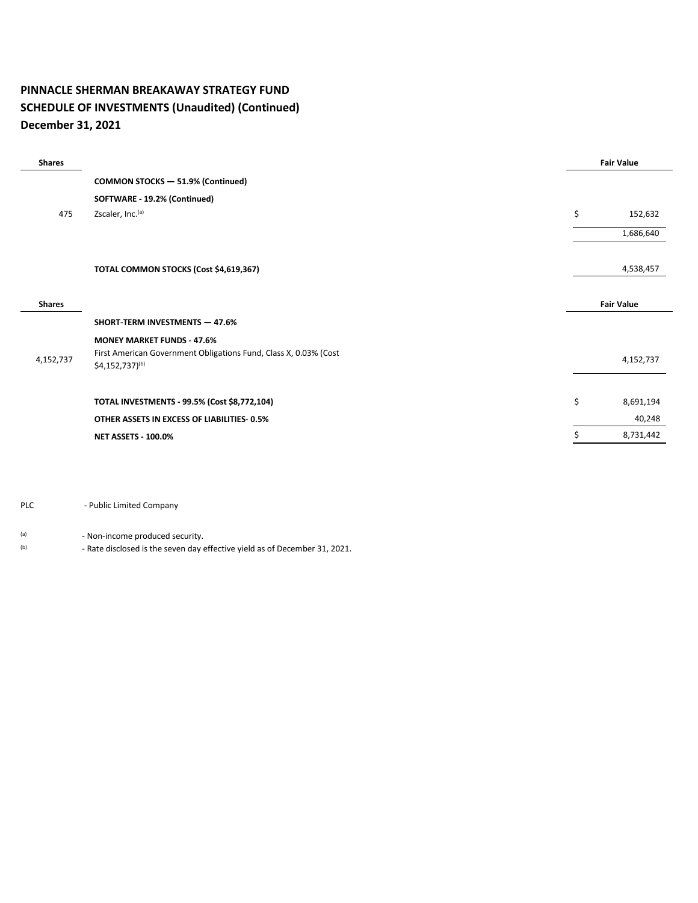### **PINNACLE SHERMAN BREAKAWAY STRATEGY FUND SCHEDULE OF INVESTMENTS (Unaudited) (Continued) December 31, 2021**

| <b>Shares</b> |                                                                                                                                      | <b>Fair Value</b> |
|---------------|--------------------------------------------------------------------------------------------------------------------------------------|-------------------|
|               | <b>COMMON STOCKS - 51.9% (Continued)</b>                                                                                             |                   |
|               | SOFTWARE - 19.2% (Continued)                                                                                                         |                   |
| 475           | Zscaler, Inc. <sup>(a)</sup>                                                                                                         | \$<br>152,632     |
|               |                                                                                                                                      | 1,686,640         |
|               | TOTAL COMMON STOCKS (Cost \$4,619,367)                                                                                               | 4,538,457         |
| <b>Shares</b> |                                                                                                                                      | <b>Fair Value</b> |
|               | <b>SHORT-TERM INVESTMENTS - 47.6%</b>                                                                                                |                   |
| 4,152,737     | <b>MONEY MARKET FUNDS - 47.6%</b><br>First American Government Obligations Fund, Class X, 0.03% (Cost<br>$$4,152,737$ <sup>(b)</sup> | 4,152,737         |
|               | TOTAL INVESTMENTS - 99.5% (Cost \$8,772,104)                                                                                         | \$<br>8,691,194   |
|               | OTHER ASSETS IN EXCESS OF LIABILITIES-0.5%                                                                                           | 40,248            |
|               | <b>NET ASSETS - 100.0%</b>                                                                                                           | 8,731,442         |

#### PLC - Public Limited Company

(a) - Non-income produced security.

(b) - Rate disclosed is the seven day effective yield as of December 31, 2021.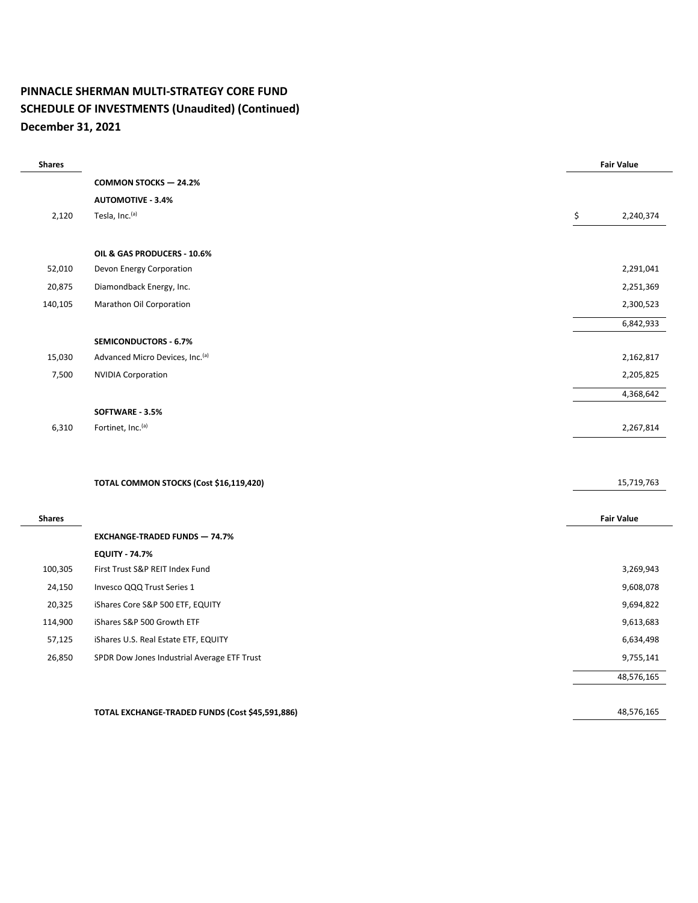### **PINNACLE SHERMAN MULTI-STRATEGY CORE FUND SCHEDULE OF INVESTMENTS (Unaudited) (Continued) December 31, 2021**

| <b>Shares</b> |                                                 | <b>Fair Value</b> |
|---------------|-------------------------------------------------|-------------------|
|               | <b>COMMON STOCKS - 24.2%</b>                    |                   |
|               | <b>AUTOMOTIVE - 3.4%</b>                        |                   |
| 2,120         | Tesla, Inc. <sup>(a)</sup>                      | \$<br>2,240,374   |
|               |                                                 |                   |
|               | OIL & GAS PRODUCERS - 10.6%                     |                   |
| 52,010        | Devon Energy Corporation                        | 2,291,041         |
| 20,875        | Diamondback Energy, Inc.                        | 2,251,369         |
| 140,105       | Marathon Oil Corporation                        | 2,300,523         |
|               |                                                 | 6,842,933         |
|               | <b>SEMICONDUCTORS - 6.7%</b>                    |                   |
| 15,030        | Advanced Micro Devices, Inc.(a)                 | 2,162,817         |
| 7,500         | <b>NVIDIA Corporation</b>                       | 2,205,825         |
|               |                                                 | 4,368,642         |
|               | SOFTWARE - 3.5%                                 |                   |
| 6,310         | Fortinet, Inc. <sup>(a)</sup>                   | 2,267,814         |
|               |                                                 |                   |
|               | TOTAL COMMON STOCKS (Cost \$16,119,420)         | 15,719,763        |
| <b>Shares</b> |                                                 | <b>Fair Value</b> |
|               | <b>EXCHANGE-TRADED FUNDS - 74.7%</b>            |                   |
|               | <b>EQUITY - 74.7%</b>                           |                   |
| 100,305       | First Trust S&P REIT Index Fund                 | 3,269,943         |
| 24,150        | Invesco QQQ Trust Series 1                      | 9,608,078         |
| 20,325        | iShares Core S&P 500 ETF, EQUITY                | 9,694,822         |
| 114,900       | iShares S&P 500 Growth ETF                      | 9,613,683         |
| 57,125        | iShares U.S. Real Estate ETF, EQUITY            | 6,634,498         |
| 26,850        | SPDR Dow Jones Industrial Average ETF Trust     | 9,755,141         |
|               |                                                 | 48,576,165        |
|               | TOTAL EXCHANGE-TRADED FUNDS (Cost \$45,591,886) | 48,576,165        |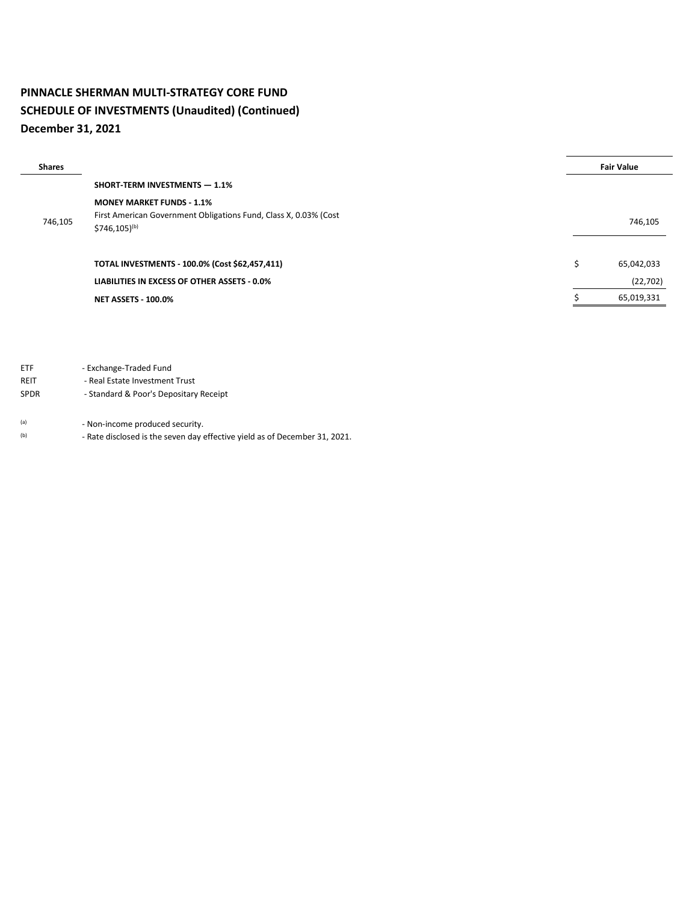## **PINNACLE SHERMAN MULTI-STRATEGY CORE FUND SCHEDULE OF INVESTMENTS (Unaudited) (Continued) December 31, 2021**

| <b>Shares</b> |                                                                                       |   | <b>Fair Value</b> |
|---------------|---------------------------------------------------------------------------------------|---|-------------------|
|               | <b>SHORT TERM INVESTMENTS - 1.1%</b>                                                  |   |                   |
|               | <b>MONEY MARKET FUNDS - 1.1%</b>                                                      |   |                   |
| 746,105       | First American Government Obligations Fund, Class X, 0.03% (Cost<br>$$746,105)^{(b)}$ |   | 746,105           |
|               | TOTAL INVESTMENTS - 100.0% (Cost \$62,457,411)                                        | Ś | 65,042,033        |
|               | LIABILITIES IN EXCESS OF OTHER ASSETS - 0.0%                                          |   | (22, 702)         |
|               | <b>NET ASSETS - 100.0%</b>                                                            |   | 65,019,331        |

ETF - Exchange-Traded Fund

REIT - Real Estate Investment Trust

SPDR - Standard & Poor's Depositary Receipt

(a) - Non-income produced security.

(b) - Rate disclosed is the seven day effective yield as of December 31, 2021.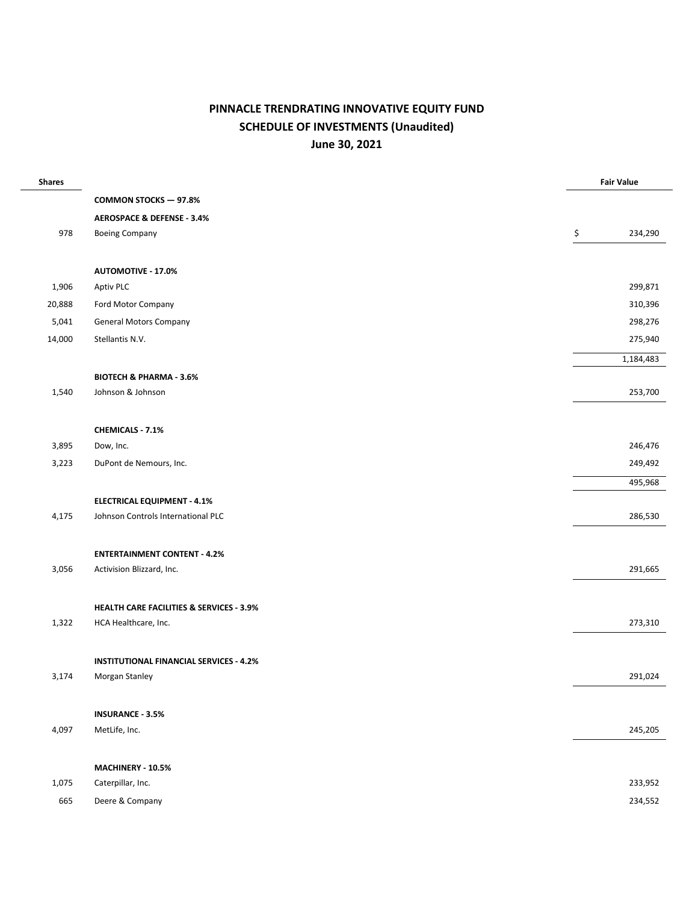# **PINNACLE TRENDRATING INNOVATIVE EQUITY FUND SCHEDULE OF INVESTMENTS (Unaudited) June 30, 2021**

| <b>Shares</b> |                                                     | <b>Fair Value</b> |
|---------------|-----------------------------------------------------|-------------------|
|               | <b>COMMON STOCKS - 97.8%</b>                        |                   |
|               | <b>AEROSPACE &amp; DEFENSE - 3.4%</b>               |                   |
| 978           | <b>Boeing Company</b>                               | \$<br>234,290     |
|               |                                                     |                   |
|               | <b>AUTOMOTIVE - 17.0%</b>                           |                   |
| 1,906         | Aptiv PLC                                           | 299,871           |
| 20,888        | Ford Motor Company                                  | 310,396           |
| 5,041         | <b>General Motors Company</b>                       | 298,276           |
| 14,000        | Stellantis N.V.                                     | 275,940           |
|               |                                                     | 1,184,483         |
|               | <b>BIOTECH &amp; PHARMA - 3.6%</b>                  |                   |
| 1,540         | Johnson & Johnson                                   | 253,700           |
|               |                                                     |                   |
|               | <b>CHEMICALS - 7.1%</b>                             |                   |
| 3,895         | Dow, Inc.                                           | 246,476           |
| 3,223         | DuPont de Nemours, Inc.                             | 249,492           |
|               |                                                     | 495,968           |
|               | <b>ELECTRICAL EQUIPMENT - 4.1%</b>                  |                   |
| 4,175         | Johnson Controls International PLC                  | 286,530           |
|               |                                                     |                   |
|               | <b>ENTERTAINMENT CONTENT - 4.2%</b>                 |                   |
| 3,056         | Activision Blizzard, Inc.                           | 291,665           |
|               |                                                     |                   |
|               | <b>HEALTH CARE FACILITIES &amp; SERVICES - 3.9%</b> |                   |
| 1,322         | HCA Healthcare, Inc.                                | 273,310           |
|               |                                                     |                   |
|               | <b>INSTITUTIONAL FINANCIAL SERVICES - 4.2%</b>      |                   |
| 3,174         | Morgan Stanley                                      | 291,024           |
|               |                                                     |                   |
|               | <b>INSURANCE - 3.5%</b>                             |                   |
| 4,097         | MetLife, Inc.                                       | 245,205           |
|               |                                                     |                   |
|               | MACHINERY - 10.5%                                   |                   |
| 1,075         | Caterpillar, Inc.                                   | 233,952           |
| 665           | Deere & Company                                     | 234,552           |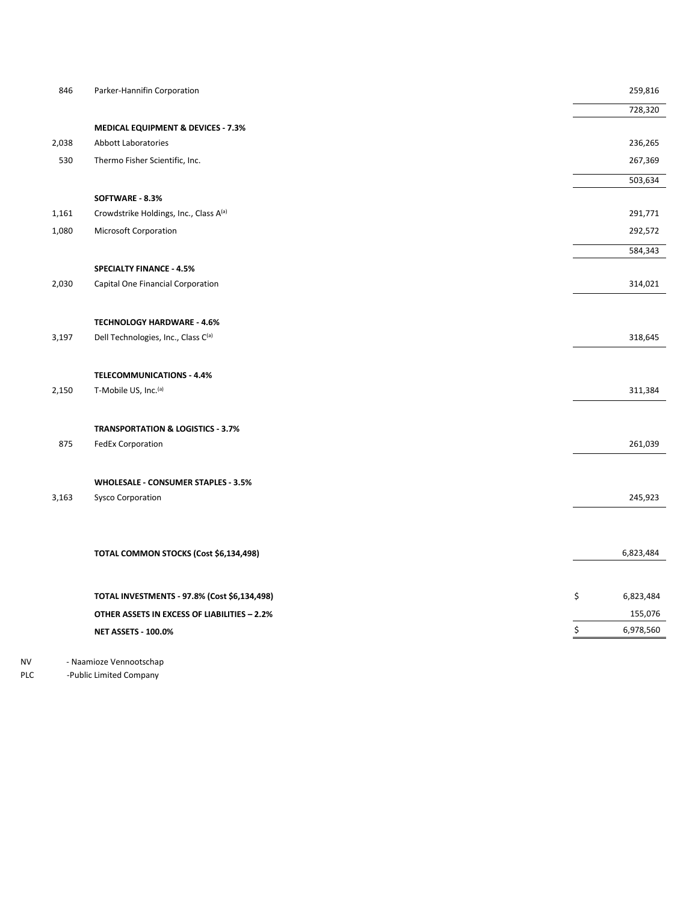| 846   | Parker-Hannifin Corporation                                              | 259,816         |
|-------|--------------------------------------------------------------------------|-----------------|
|       |                                                                          | 728,320         |
|       | MEDICAL EQUIPMENT & DEVICES - 7.3%                                       |                 |
| 2,038 | Abbott Laboratories                                                      | 236,265         |
| 530   | Thermo Fisher Scientific, Inc.                                           | 267,369         |
|       |                                                                          | 503,634         |
|       | SOFTWARE - 8.3%                                                          |                 |
| 1,161 | Crowdstrike Holdings, Inc., Class A(a)                                   | 291,771         |
| 1,080 | Microsoft Corporation                                                    | 292,572         |
|       |                                                                          | 584,343         |
|       | <b>SPECIALTY FINANCE - 4.5%</b>                                          |                 |
| 2,030 | Capital One Financial Corporation                                        | 314,021         |
|       |                                                                          |                 |
|       |                                                                          |                 |
| 3,197 | <b>TECHNOLOGY HARDWARE - 4.6%</b><br>Dell Technologies, Inc., Class C(a) | 318,645         |
|       |                                                                          |                 |
|       | <b>TELECOMMUNICATIONS - 4.4%</b>                                         |                 |
| 2,150 | T-Mobile US, Inc. <sup>(a)</sup>                                         | 311,384         |
|       |                                                                          |                 |
|       | <b>TRANSPORTATION &amp; LOGISTICS - 3.7%</b>                             |                 |
| 875   | <b>FedEx Corporation</b>                                                 | 261,039         |
|       |                                                                          |                 |
|       |                                                                          |                 |
| 3,163 | WHOLESALE - CONSUMER STAPLES - 3.5%<br><b>Sysco Corporation</b>          | 245,923         |
|       |                                                                          |                 |
|       |                                                                          |                 |
|       |                                                                          |                 |
|       | TOTAL COMMON STOCKS (Cost \$6,134,498)                                   | 6,823,484       |
|       |                                                                          |                 |
|       | TOTAL INVESTMENTS - 97.8% (Cost \$6,134,498)                             | \$<br>6,823,484 |
|       | OTHER ASSETS IN EXCESS OF LIABILITIES - 2.2%                             | 155,076         |
|       | <b>NET ASSETS - 100.0%</b>                                               | \$<br>6,978,560 |
|       |                                                                          |                 |

NV - Naamioze Vennootschap

PLC -Public Limited Company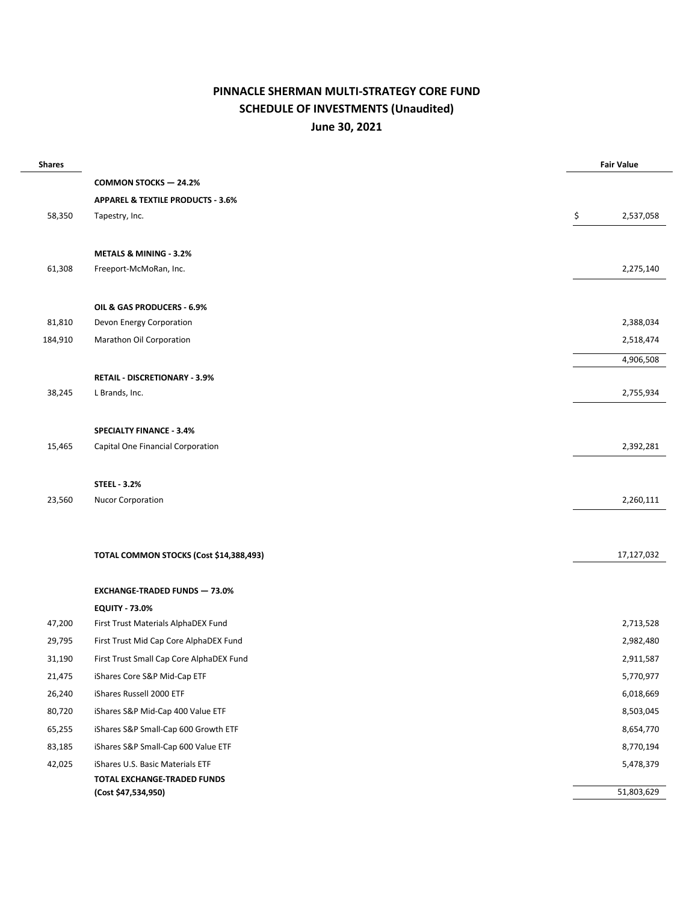### **PINNACLE SHERMAN MULTI-STRATEGY CORE FUND SCHEDULE OF INVESTMENTS (Unaudited) June 30, 2021**

| <b>Shares</b> |                                              | <b>Fair Value</b> |
|---------------|----------------------------------------------|-------------------|
|               | <b>COMMON STOCKS - 24.2%</b>                 |                   |
|               | <b>APPAREL &amp; TEXTILE PRODUCTS - 3.6%</b> |                   |
| 58,350        | Tapestry, Inc.                               | \$<br>2,537,058   |
|               |                                              |                   |
|               | <b>METALS &amp; MINING - 3.2%</b>            |                   |
| 61,308        | Freeport-McMoRan, Inc.                       | 2,275,140         |
|               |                                              |                   |
|               | OIL & GAS PRODUCERS - 6.9%                   |                   |
| 81,810        | Devon Energy Corporation                     | 2,388,034         |
| 184,910       | Marathon Oil Corporation                     | 2,518,474         |
|               |                                              | 4,906,508         |
|               | <b>RETAIL - DISCRETIONARY - 3.9%</b>         |                   |
| 38,245        | L Brands, Inc.                               | 2,755,934         |
|               |                                              |                   |
|               | <b>SPECIALTY FINANCE - 3.4%</b>              |                   |
| 15,465        | Capital One Financial Corporation            | 2,392,281         |
|               |                                              |                   |
|               | <b>STEEL - 3.2%</b>                          |                   |
| 23,560        | <b>Nucor Corporation</b>                     | 2,260,111         |
|               |                                              |                   |
|               |                                              |                   |
|               | TOTAL COMMON STOCKS (Cost \$14,388,493)      | 17,127,032        |
|               | <b>EXCHANGE-TRADED FUNDS - 73.0%</b>         |                   |
|               | <b>EQUITY - 73.0%</b>                        |                   |
| 47,200        | First Trust Materials AlphaDEX Fund          | 2,713,528         |
| 29,795        | First Trust Mid Cap Core AlphaDEX Fund       | 2,982,480         |
| 31,190        | First Trust Small Cap Core AlphaDEX Fund     | 2,911,587         |
| 21,475        | iShares Core S&P Mid-Cap ETF                 | 5,770,977         |
| 26,240        | iShares Russell 2000 ETF                     | 6,018,669         |
| 80,720        | iShares S&P Mid-Cap 400 Value ETF            | 8,503,045         |
| 65,255        | iShares S&P Small-Cap 600 Growth ETF         | 8,654,770         |
| 83,185        | iShares S&P Small-Cap 600 Value ETF          | 8,770,194         |
| 42,025        | iShares U.S. Basic Materials ETF             | 5,478,379         |
|               | TOTAL EXCHANGE-TRADED FUNDS                  |                   |
|               | (Cost \$47,534,950)                          | 51,803,629        |